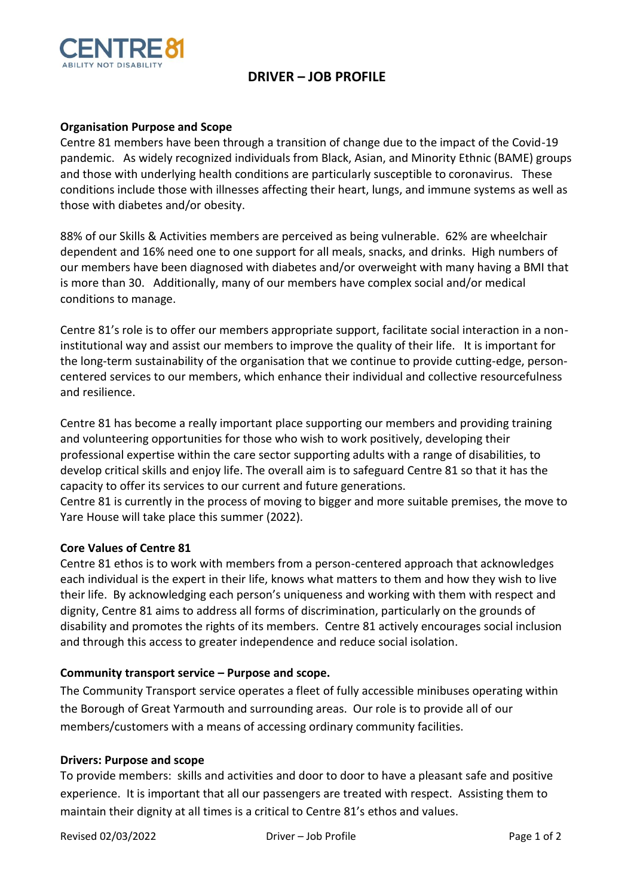

# **DRIVER – JOB PROFILE**

## **Organisation Purpose and Scope**

Centre 81 members have been through a transition of change due to the impact of the Covid-19 pandemic. As widely recognized individuals from Black, Asian, and Minority Ethnic (BAME) groups and those with underlying health conditions are particularly susceptible to coronavirus. These conditions include those with illnesses affecting their heart, lungs, and immune systems as well as those with diabetes and/or obesity.

88% of our Skills & Activities members are perceived as being vulnerable. 62% are wheelchair dependent and 16% need one to one support for all meals, snacks, and drinks. High numbers of our members have been diagnosed with diabetes and/or overweight with many having a BMI that is more than 30. Additionally, many of our members have complex social and/or medical conditions to manage.

Centre 81's role is to offer our members appropriate support, facilitate social interaction in a noninstitutional way and assist our members to improve the quality of their life. It is important for the long-term sustainability of the organisation that we continue to provide cutting-edge, personcentered services to our members, which enhance their individual and collective resourcefulness and resilience.

Centre 81 has become a really important place supporting our members and providing training and volunteering opportunities for those who wish to work positively, developing their professional expertise within the care sector supporting adults with a range of disabilities, to develop critical skills and enjoy life. The overall aim is to safeguard Centre 81 so that it has the capacity to offer its services to our current and future generations.

Centre 81 is currently in the process of moving to bigger and more suitable premises, the move to Yare House will take place this summer (2022).

#### **Core Values of Centre 81**

Centre 81 ethos is to work with members from a person-centered approach that acknowledges each individual is the expert in their life, knows what matters to them and how they wish to live their life. By acknowledging each person's uniqueness and working with them with respect and dignity, Centre 81 aims to address all forms of discrimination, particularly on the grounds of disability and promotes the rights of its members. Centre 81 actively encourages social inclusion and through this access to greater independence and reduce social isolation.

#### **Community transport service – Purpose and scope.**

The Community Transport service operates a fleet of fully accessible minibuses operating within the Borough of Great Yarmouth and surrounding areas. Our role is to provide all of our members/customers with a means of accessing ordinary community facilities.

#### **Drivers: Purpose and scope**

To provide members: skills and activities and door to door to have a pleasant safe and positive experience. It is important that all our passengers are treated with respect. Assisting them to maintain their dignity at all times is a critical to Centre 81's ethos and values.